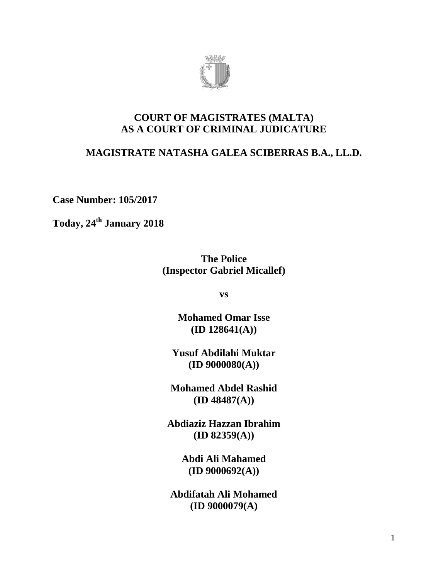

## **COURT OF MAGISTRATES (MALTA) AS A COURT OF CRIMINAL JUDICATURE**

# **MAGISTRATE NATASHA GALEA SCIBERRAS B.A., LL.D.**

**Case Number: 105/2017**

**Today, 24th January 2018**

**The Police (Inspector Gabriel Micallef)**

**vs**

**Mohamed Omar Isse (ID 128641(A))**

**Yusuf Abdilahi Muktar (ID 9000080(A))**

**Mohamed Abdel Rashid (ID 48487(A))**

**Abdiaziz Hazzan Ibrahim (ID 82359(A))**

> **Abdi Ali Mahamed (ID 9000692(A))**

**Abdifatah Ali Mohamed (ID 9000079(A)**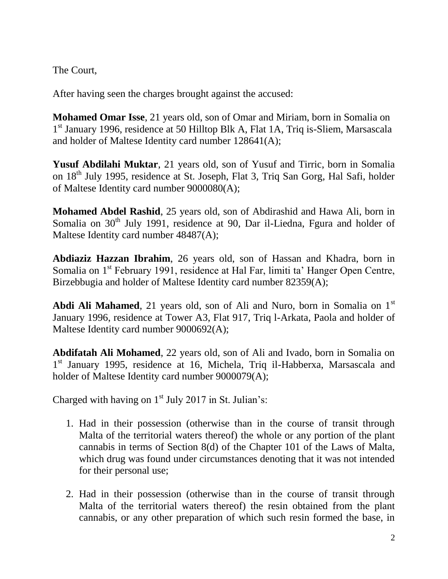The Court,

After having seen the charges brought against the accused:

**Mohamed Omar Isse**, 21 years old, son of Omar and Miriam, born in Somalia on 1<sup>st</sup> January 1996, residence at 50 Hilltop Blk A, Flat 1A, Triq is-Sliem, Marsascala and holder of Maltese Identity card number 128641(A);

**Yusuf Abdilahi Muktar**, 21 years old, son of Yusuf and Tirric, born in Somalia on 18<sup>th</sup> July 1995, residence at St. Joseph, Flat 3, Triq San Gorg, Hal Safi, holder of Maltese Identity card number 9000080(A);

**Mohamed Abdel Rashid**, 25 years old, son of Abdirashid and Hawa Ali, born in Somalia on  $30<sup>th</sup>$  July 1991, residence at 90, Dar il-Liedna, Fgura and holder of Maltese Identity card number 48487(A);

**Abdiaziz Hazzan Ibrahim**, 26 years old, son of Hassan and Khadra, born in Somalia on 1<sup>st</sup> February 1991, residence at Hal Far, limiti ta' Hanger Open Centre, Birzebbugia and holder of Maltese Identity card number 82359(A);

**Abdi Ali Mahamed**, 21 years old, son of Ali and Nuro, born in Somalia on 1<sup>st</sup> January 1996, residence at Tower A3, Flat 917, Triq l-Arkata, Paola and holder of Maltese Identity card number 9000692(A);

**Abdifatah Ali Mohamed**, 22 years old, son of Ali and Ivado, born in Somalia on 1<sup>st</sup> January 1995, residence at 16, Michela, Triq il-Habberxa, Marsascala and holder of Maltese Identity card number 9000079(A);

Charged with having on  $1<sup>st</sup>$  July 2017 in St. Julian's:

- 1. Had in their possession (otherwise than in the course of transit through Malta of the territorial waters thereof) the whole or any portion of the plant cannabis in terms of Section 8(d) of the Chapter 101 of the Laws of Malta, which drug was found under circumstances denoting that it was not intended for their personal use;
- 2. Had in their possession (otherwise than in the course of transit through Malta of the territorial waters thereof) the resin obtained from the plant cannabis, or any other preparation of which such resin formed the base, in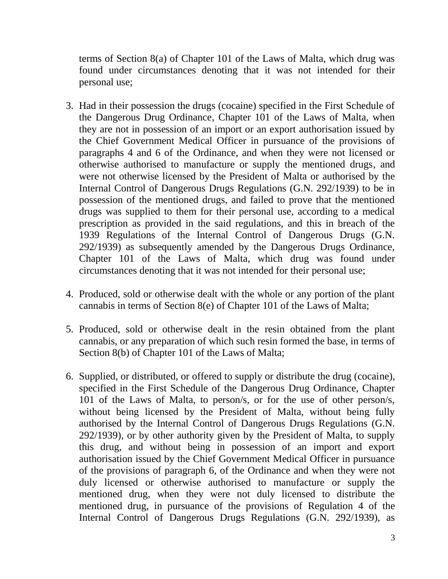terms of Section 8(a) of Chapter 101 of the Laws of Malta, which drug was found under circumstances denoting that it was not intended for their personal use;

- 3. Had in their possession the drugs (cocaine) specified in the First Schedule of the Dangerous Drug Ordinance, Chapter 101 of the Laws of Malta, when they are not in possession of an import or an export authorisation issued by the Chief Government Medical Officer in pursuance of the provisions of paragraphs 4 and 6 of the Ordinance, and when they were not licensed or otherwise authorised to manufacture or supply the mentioned drugs, and were not otherwise licensed by the President of Malta or authorised by the Internal Control of Dangerous Drugs Regulations (G.N. 292/1939) to be in possession of the mentioned drugs, and failed to prove that the mentioned drugs was supplied to them for their personal use, according to a medical prescription as provided in the said regulations, and this in breach of the 1939 Regulations of the Internal Control of Dangerous Drugs (G.N. 292/1939) as subsequently amended by the Dangerous Drugs Ordinance, Chapter 101 of the Laws of Malta, which drug was found under circumstances denoting that it was not intended for their personal use;
- 4. Produced, sold or otherwise dealt with the whole or any portion of the plant cannabis in terms of Section 8(e) of Chapter 101 of the Laws of Malta;
- 5. Produced, sold or otherwise dealt in the resin obtained from the plant cannabis, or any preparation of which such resin formed the base, in terms of Section 8(b) of Chapter 101 of the Laws of Malta;
- 6. Supplied, or distributed, or offered to supply or distribute the drug (cocaine), specified in the First Schedule of the Dangerous Drug Ordinance, Chapter 101 of the Laws of Malta, to person/s, or for the use of other person/s, without being licensed by the President of Malta, without being fully authorised by the Internal Control of Dangerous Drugs Regulations (G.N. 292/1939), or by other authority given by the President of Malta, to supply this drug, and without being in possession of an import and export authorisation issued by the Chief Government Medical Officer in pursuance of the provisions of paragraph 6, of the Ordinance and when they were not duly licensed or otherwise authorised to manufacture or supply the mentioned drug, when they were not duly licensed to distribute the mentioned drug, in pursuance of the provisions of Regulation 4 of the Internal Control of Dangerous Drugs Regulations (G.N. 292/1939), as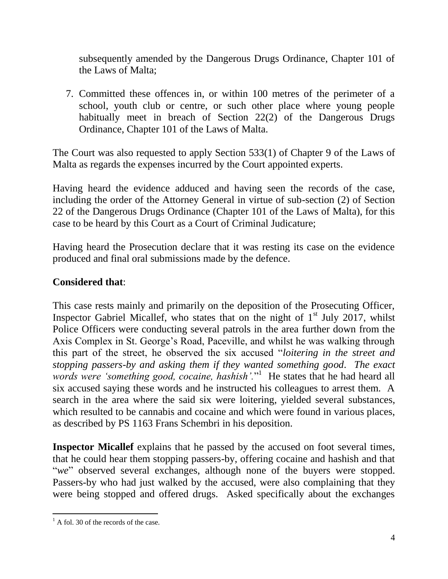subsequently amended by the Dangerous Drugs Ordinance, Chapter 101 of the Laws of Malta;

7. Committed these offences in, or within 100 metres of the perimeter of a school, youth club or centre, or such other place where young people habitually meet in breach of Section 22(2) of the Dangerous Drugs Ordinance, Chapter 101 of the Laws of Malta.

The Court was also requested to apply Section 533(1) of Chapter 9 of the Laws of Malta as regards the expenses incurred by the Court appointed experts.

Having heard the evidence adduced and having seen the records of the case, including the order of the Attorney General in virtue of sub-section (2) of Section 22 of the Dangerous Drugs Ordinance (Chapter 101 of the Laws of Malta), for this case to be heard by this Court as a Court of Criminal Judicature;

Having heard the Prosecution declare that it was resting its case on the evidence produced and final oral submissions made by the defence.

## **Considered that**:

This case rests mainly and primarily on the deposition of the Prosecuting Officer, Inspector Gabriel Micallef, who states that on the night of  $1<sup>st</sup>$  July 2017, whilst Police Officers were conducting several patrols in the area further down from the Axis Complex in St. George's Road, Paceville, and whilst he was walking through this part of the street, he observed the six accused "*loitering in the street and stopping passers-by and asking them if they wanted something good*. *The exact*  words were 'something good, cocaine, hashish'."<sup>1</sup> He states that he had heard all six accused saying these words and he instructed his colleagues to arrest them. A search in the area where the said six were loitering, yielded several substances, which resulted to be cannabis and cocaine and which were found in various places, as described by PS 1163 Frans Schembri in his deposition.

**Inspector Micallef** explains that he passed by the accused on foot several times, that he could hear them stopping passers-by, offering cocaine and hashish and that "*we*" observed several exchanges, although none of the buyers were stopped. Passers-by who had just walked by the accused, were also complaining that they were being stopped and offered drugs. Asked specifically about the exchanges

 $\overline{a}$  $<sup>1</sup>$  A fol. 30 of the records of the case.</sup>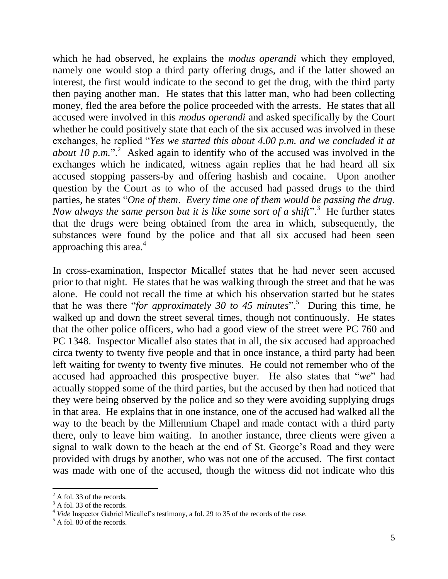which he had observed, he explains the *modus operandi* which they employed, namely one would stop a third party offering drugs, and if the latter showed an interest, the first would indicate to the second to get the drug, with the third party then paying another man. He states that this latter man, who had been collecting money, fled the area before the police proceeded with the arrests. He states that all accused were involved in this *modus operandi* and asked specifically by the Court whether he could positively state that each of the six accused was involved in these exchanges, he replied "*Yes we started this about 4.00 p.m. and we concluded it at about 10 p.m.*"<sup>2</sup> Asked again to identify who of the accused was involved in the exchanges which he indicated, witness again replies that he had heard all six accused stopping passers-by and offering hashish and cocaine. Upon another question by the Court as to who of the accused had passed drugs to the third parties, he states "*One of them*. *Every time one of them would be passing the drug.*  Now always the same person but it is like some sort of a shift".<sup>3</sup> He further states that the drugs were being obtained from the area in which, subsequently, the substances were found by the police and that all six accused had been seen approaching this area. $4$ 

In cross-examination, Inspector Micallef states that he had never seen accused prior to that night. He states that he was walking through the street and that he was alone. He could not recall the time at which his observation started but he states that he was there "*for approximately 30 to 45 minutes*".<sup>5</sup> During this time, he walked up and down the street several times, though not continuously. He states that the other police officers, who had a good view of the street were PC 760 and PC 1348. Inspector Micallef also states that in all, the six accused had approached circa twenty to twenty five people and that in once instance, a third party had been left waiting for twenty to twenty five minutes. He could not remember who of the accused had approached this prospective buyer. He also states that "*we*" had actually stopped some of the third parties, but the accused by then had noticed that they were being observed by the police and so they were avoiding supplying drugs in that area. He explains that in one instance, one of the accused had walked all the way to the beach by the Millennium Chapel and made contact with a third party there, only to leave him waiting. In another instance, three clients were given a signal to walk down to the beach at the end of St. George's Road and they were provided with drugs by another, who was not one of the accused. The first contact was made with one of the accused, though the witness did not indicate who this

 $\overline{a}$ 

 $2$  A fol. 33 of the records.

 $3 \times 101.33$  of the records.

<sup>4</sup> *Vide* Inspector Gabriel Micallef's testimony, a fol. 29 to 35 of the records of the case.

 $<sup>5</sup>$  A fol. 80 of the records.</sup>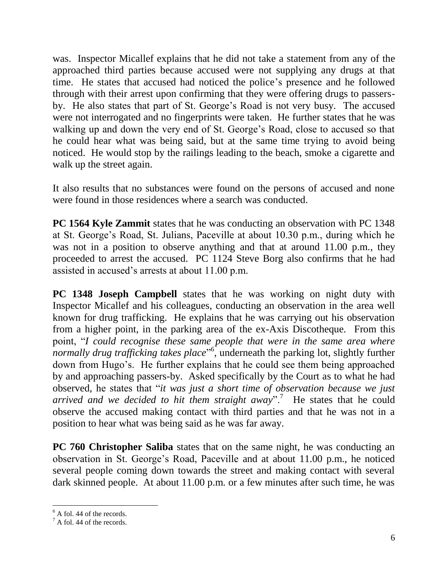was. Inspector Micallef explains that he did not take a statement from any of the approached third parties because accused were not supplying any drugs at that time. He states that accused had noticed the police's presence and he followed through with their arrest upon confirming that they were offering drugs to passersby. He also states that part of St. George's Road is not very busy. The accused were not interrogated and no fingerprints were taken. He further states that he was walking up and down the very end of St. George's Road, close to accused so that he could hear what was being said, but at the same time trying to avoid being noticed. He would stop by the railings leading to the beach, smoke a cigarette and walk up the street again.

It also results that no substances were found on the persons of accused and none were found in those residences where a search was conducted.

**PC 1564 Kyle Zammit** states that he was conducting an observation with PC 1348 at St. George's Road, St. Julians, Paceville at about 10.30 p.m., during which he was not in a position to observe anything and that at around 11.00 p.m., they proceeded to arrest the accused. PC 1124 Steve Borg also confirms that he had assisted in accused's arrests at about 11.00 p.m.

**PC 1348 Joseph Campbell** states that he was working on night duty with Inspector Micallef and his colleagues, conducting an observation in the area well known for drug trafficking. He explains that he was carrying out his observation from a higher point, in the parking area of the ex-Axis Discotheque*.* From this point, "*I could recognise these same people that were in the same area where*  normally drug trafficking takes place<sup>"6</sup>, underneath the parking lot, slightly further down from Hugo's. He further explains that he could see them being approached by and approaching passers-by. Asked specifically by the Court as to what he had observed, he states that "*it was just a short time of observation because we just arrived and we decided to hit them straight away*".<sup>7</sup> He states that he could observe the accused making contact with third parties and that he was not in a position to hear what was being said as he was far away.

**PC 760 Christopher Saliba** states that on the same night, he was conducting an observation in St. George's Road, Paceville and at about 11.00 p.m., he noticed several people coming down towards the street and making contact with several dark skinned people. At about 11.00 p.m. or a few minutes after such time, he was

 $\overline{a}$ 

 $<sup>6</sup>$  A fol. 44 of the records.</sup>

 $^7$  A fol. 44 of the records.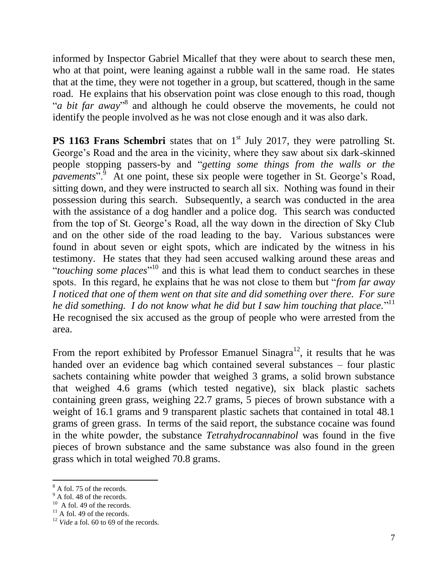informed by Inspector Gabriel Micallef that they were about to search these men, who at that point, were leaning against a rubble wall in the same road. He states that at the time, they were not together in a group, but scattered, though in the same road. He explains that his observation point was close enough to this road, though "*a bit far away*"<sup>8</sup> and although he could observe the movements, he could not identify the people involved as he was not close enough and it was also dark.

**PS 1163 Frans Schembri** states that on 1<sup>st</sup> July 2017, they were patrolling St. George's Road and the area in the vicinity, where they saw about six dark-skinned people stopping passers-by and "*getting some things from the walls or the pavements*<sup>5, 6</sup> At one point, these six people were together in St. George's Road, sitting down, and they were instructed to search all six. Nothing was found in their possession during this search. Subsequently, a search was conducted in the area with the assistance of a dog handler and a police dog. This search was conducted from the top of St. George's Road, all the way down in the direction of Sky Club and on the other side of the road leading to the bay. Various substances were found in about seven or eight spots, which are indicated by the witness in his testimony. He states that they had seen accused walking around these areas and "*touching some places*"<sup>10</sup> and this is what lead them to conduct searches in these spots. In this regard, he explains that he was not close to them but "*from far away I noticed that one of them went on that site and did something over there. For sure*  he did something. I do not know what he did but I saw him touching that place."<sup>11</sup> He recognised the six accused as the group of people who were arrested from the area.

From the report exhibited by Professor Emanuel Sinagra<sup>12</sup>, it results that he was handed over an evidence bag which contained several substances – four plastic sachets containing white powder that weighed 3 grams, a solid brown substance that weighed 4.6 grams (which tested negative), six black plastic sachets containing green grass, weighing 22.7 grams, 5 pieces of brown substance with a weight of 16.1 grams and 9 transparent plastic sachets that contained in total 48.1 grams of green grass. In terms of the said report, the substance cocaine was found in the white powder, the substance *Tetrahydrocannabinol* was found in the five pieces of brown substance and the same substance was also found in the green grass which in total weighed 70.8 grams.

 $\overline{a}$ 

<sup>8</sup> A fol. 75 of the records.

 $9^{\circ}$  A fol. 48 of the records.

<sup>&</sup>lt;sup>10</sup> A fol. 49 of the records.

 $11$  A fol. 49 of the records.

<sup>&</sup>lt;sup>12</sup> *Vide* a fol. 60 to 69 of the records.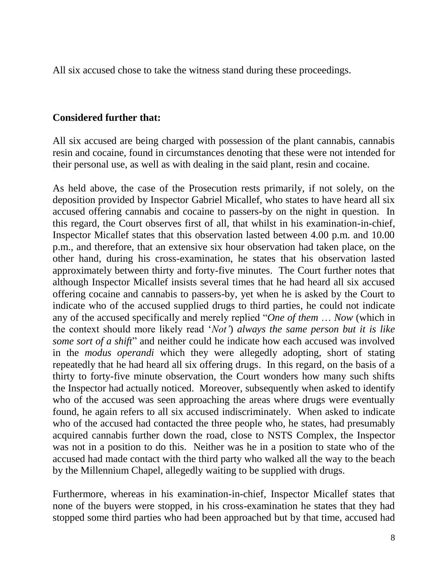All six accused chose to take the witness stand during these proceedings.

#### **Considered further that:**

All six accused are being charged with possession of the plant cannabis, cannabis resin and cocaine, found in circumstances denoting that these were not intended for their personal use, as well as with dealing in the said plant, resin and cocaine.

As held above, the case of the Prosecution rests primarily, if not solely, on the deposition provided by Inspector Gabriel Micallef, who states to have heard all six accused offering cannabis and cocaine to passers-by on the night in question. In this regard, the Court observes first of all, that whilst in his examination-in-chief, Inspector Micallef states that this observation lasted between 4.00 p.m. and 10.00 p.m., and therefore, that an extensive six hour observation had taken place, on the other hand, during his cross-examination, he states that his observation lasted approximately between thirty and forty-five minutes. The Court further notes that although Inspector Micallef insists several times that he had heard all six accused offering cocaine and cannabis to passers-by, yet when he is asked by the Court to indicate who of the accused supplied drugs to third parties, he could not indicate any of the accused specifically and merely replied "*One of them* … *Now* (which in the context should more likely read '*Not'*) *always the same person but it is like some sort of a shift*" and neither could he indicate how each accused was involved in the *modus operandi* which they were allegedly adopting, short of stating repeatedly that he had heard all six offering drugs. In this regard, on the basis of a thirty to forty-five minute observation, the Court wonders how many such shifts the Inspector had actually noticed. Moreover, subsequently when asked to identify who of the accused was seen approaching the areas where drugs were eventually found, he again refers to all six accused indiscriminately. When asked to indicate who of the accused had contacted the three people who, he states, had presumably acquired cannabis further down the road, close to NSTS Complex, the Inspector was not in a position to do this. Neither was he in a position to state who of the accused had made contact with the third party who walked all the way to the beach by the Millennium Chapel, allegedly waiting to be supplied with drugs.

Furthermore, whereas in his examination-in-chief, Inspector Micallef states that none of the buyers were stopped, in his cross-examination he states that they had stopped some third parties who had been approached but by that time, accused had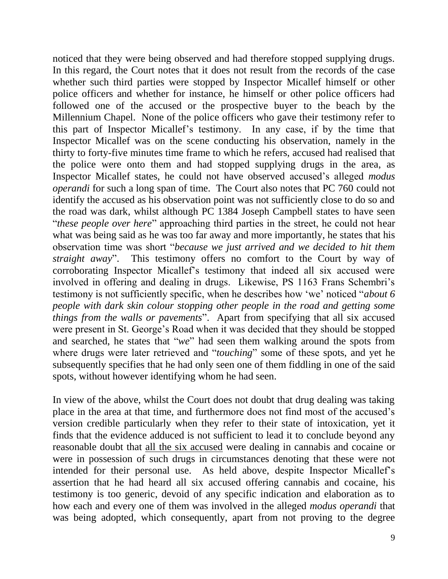noticed that they were being observed and had therefore stopped supplying drugs. In this regard, the Court notes that it does not result from the records of the case whether such third parties were stopped by Inspector Micallef himself or other police officers and whether for instance, he himself or other police officers had followed one of the accused or the prospective buyer to the beach by the Millennium Chapel. None of the police officers who gave their testimony refer to this part of Inspector Micallef's testimony. In any case, if by the time that Inspector Micallef was on the scene conducting his observation, namely in the thirty to forty-five minutes time frame to which he refers, accused had realised that the police were onto them and had stopped supplying drugs in the area, as Inspector Micallef states, he could not have observed accused's alleged *modus operandi* for such a long span of time. The Court also notes that PC 760 could not identify the accused as his observation point was not sufficiently close to do so and the road was dark, whilst although PC 1384 Joseph Campbell states to have seen "*these people over here*" approaching third parties in the street, he could not hear what was being said as he was too far away and more importantly, he states that his observation time was short "*because we just arrived and we decided to hit them straight away*". This testimony offers no comfort to the Court by way of corroborating Inspector Micallef's testimony that indeed all six accused were involved in offering and dealing in drugs. Likewise, PS 1163 Frans Schembri's testimony is not sufficiently specific, when he describes how 'we' noticed "*about 6 people with dark skin colour stopping other people in the road and getting some things from the walls or pavements*". Apart from specifying that all six accused were present in St. George's Road when it was decided that they should be stopped and searched, he states that "*we*" had seen them walking around the spots from where drugs were later retrieved and "*touching*" some of these spots, and yet he subsequently specifies that he had only seen one of them fiddling in one of the said spots, without however identifying whom he had seen.

In view of the above, whilst the Court does not doubt that drug dealing was taking place in the area at that time, and furthermore does not find most of the accused's version credible particularly when they refer to their state of intoxication, yet it finds that the evidence adduced is not sufficient to lead it to conclude beyond any reasonable doubt that all the six accused were dealing in cannabis and cocaine or were in possession of such drugs in circumstances denoting that these were not intended for their personal use. As held above, despite Inspector Micallef's assertion that he had heard all six accused offering cannabis and cocaine, his testimony is too generic, devoid of any specific indication and elaboration as to how each and every one of them was involved in the alleged *modus operandi* that was being adopted, which consequently, apart from not proving to the degree